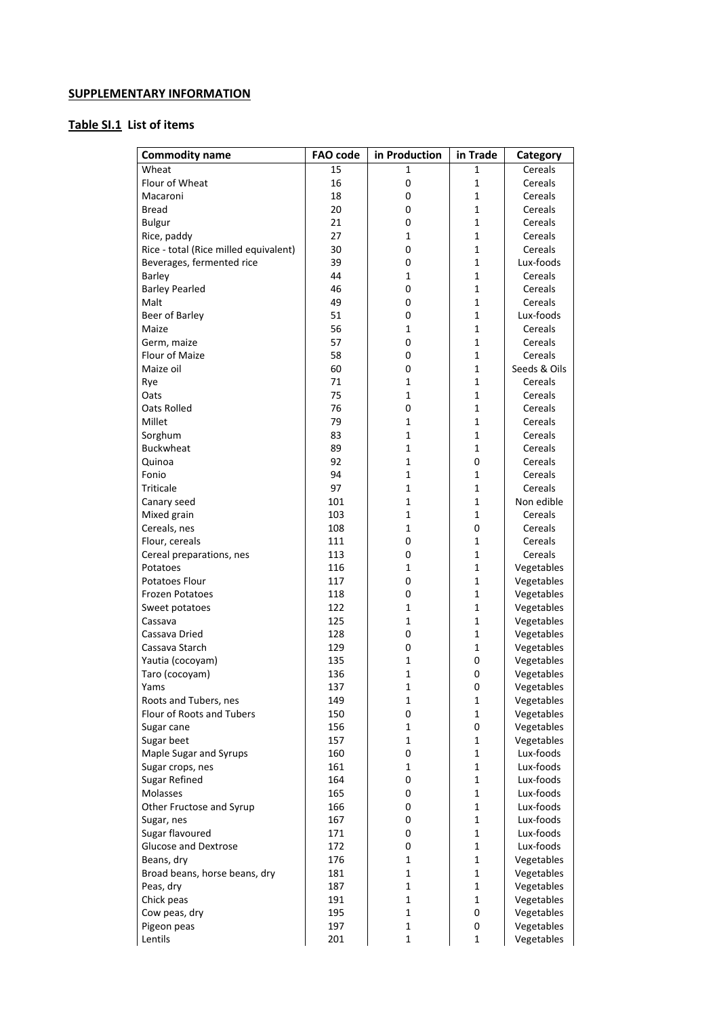## **SUPPLEMENTARY INFORMATION**

## **Table SI.1 List of items**

| <b>Commodity name</b>                 | <b>FAO code</b> | in Production    | in Trade     | Category     |
|---------------------------------------|-----------------|------------------|--------------|--------------|
| Wheat                                 | 15              | 1                | 1            | Cereals      |
| Flour of Wheat                        | 16              | 0                | $\mathbf 1$  | Cereals      |
| Macaroni                              | 18              | $\mathbf 0$      | 1            | Cereals      |
| <b>Bread</b>                          | 20              | 0                | 1            | Cereals      |
| <b>Bulgur</b>                         | 21              | 0                | $\mathbf 1$  | Cereals      |
| Rice, paddy                           | 27              | $\mathbf 1$      | 1            | Cereals      |
| Rice - total (Rice milled equivalent) | 30              | 0                | 1            | Cereals      |
| Beverages, fermented rice             | 39              | 0                | $\mathbf 1$  | Lux-foods    |
| Barley                                | 44              | 1                | 1            | Cereals      |
| <b>Barley Pearled</b>                 | 46              | 0                | 1            | Cereals      |
| Malt                                  | 49              | 0                | $\mathbf{1}$ | Cereals      |
| Beer of Barley                        | 51              | 0                | 1            | Lux-foods    |
| Maize                                 | 56              | 1                | 1            | Cereals      |
| Germ, maize                           | 57              | 0                | $\mathbf 1$  | Cereals      |
| Flour of Maize                        | 58              | 0                | 1            | Cereals      |
| Maize oil                             | 60              | 0                | 1            | Seeds & Oils |
| Rye                                   | 71              | $\mathbf 1$      | $\mathbf 1$  | Cereals      |
| Oats                                  | 75              | $\mathbf 1$      | 1            | Cereals      |
| Oats Rolled                           | 76              | $\boldsymbol{0}$ | 1            | Cereals      |
| Millet                                | 79              | $\mathbf 1$      | $\mathbf 1$  | Cereals      |
| Sorghum                               | 83              | $\mathbf 1$      | 1            | Cereals      |
| <b>Buckwheat</b>                      | 89              | $\mathbf 1$      | 1            | Cereals      |
| Quinoa                                | 92              | $\mathbf 1$      | 0            | Cereals      |
| Fonio                                 | 94              | $\mathbf 1$      | 1            | Cereals      |
| Triticale                             | 97              | $\mathbf 1$      | 1            | Cereals      |
| Canary seed                           | 101             | $\mathbf 1$      | $\mathbf 1$  | Non edible   |
| Mixed grain                           | 103             | $\mathbf 1$      | 1            | Cereals      |
| Cereals, nes                          | 108             | $\mathbf{1}$     | 0            | Cereals      |
| Flour, cereals                        | 111             | $\mathbf 0$      | 1            | Cereals      |
| Cereal preparations, nes              | 113             | $\mathbf 0$      | 1            | Cereals      |
| Potatoes                              | 116             | $\mathbf 1$      | $\mathbf 1$  | Vegetables   |
| Potatoes Flour                        | 117             | 0                | $\mathbf{1}$ | Vegetables   |
| <b>Frozen Potatoes</b>                | 118             | $\mathbf 0$      | 1            | Vegetables   |
| Sweet potatoes                        | 122             | 1                | 1            | Vegetables   |
| Cassava                               | 125             | $\mathbf 1$      | $\mathbf{1}$ | Vegetables   |
| Cassava Dried                         | 128             | $\mathbf 0$      | 1            | Vegetables   |
| Cassava Starch                        | 129             | 0                | $\mathbf 1$  | Vegetables   |
| Yautia (cocoyam)                      | 135             | $\mathbf 1$      | 0            | Vegetables   |
| Taro (cocoyam)                        | 136             | $\mathbf{1}$     | 0            | Vegetables   |
| Yams                                  | 137             | 1                | 0            | Vegetables   |
| Roots and Tubers, nes                 | 149             | $\mathbf{1}$     | $\mathbf{1}$ | Vegetables   |
| Flour of Roots and Tubers             | 150             | 0                | $\mathbf 1$  | Vegetables   |
| Sugar cane                            | 156             | 1                | 0            | Vegetables   |
| Sugar beet                            | 157             | $\mathbf 1$      | 1            | Vegetables   |
| Maple Sugar and Syrups                | 160             | 0                | 1            | Lux-foods    |
| Sugar crops, nes                      | 161             | 1                | 1            | Lux-foods    |
| <b>Sugar Refined</b>                  | 164             | 0                | 1            | Lux-foods    |
| Molasses                              | 165             | 0                | $\mathbf 1$  | Lux-foods    |
| Other Fructose and Syrup              | 166             | 0                | $\mathbf{1}$ | Lux-foods    |
| Sugar, nes                            | 167             | 0                | 1            | Lux-foods    |
| Sugar flavoured                       | 171             | 0                | 1            | Lux-foods    |
| <b>Glucose and Dextrose</b>           | 172             | 0                | 1            | Lux-foods    |
| Beans, dry                            | 176             | $\mathbf{1}$     | 1            | Vegetables   |
| Broad beans, horse beans, dry         | 181             | $\mathbf 1$      | $\mathbf 1$  | Vegetables   |
| Peas, dry                             | 187             | $\mathbf 1$      | $\mathbf{1}$ | Vegetables   |
| Chick peas                            | 191             | $\mathbf 1$      | 1            | Vegetables   |
| Cow peas, dry                         | 195             | $\mathbf 1$      | 0            | Vegetables   |
| Pigeon peas                           | 197             | $\mathbf 1$      | 0            | Vegetables   |
| Lentils                               | 201             | $\mathbf{1}$     | 1            | Vegetables   |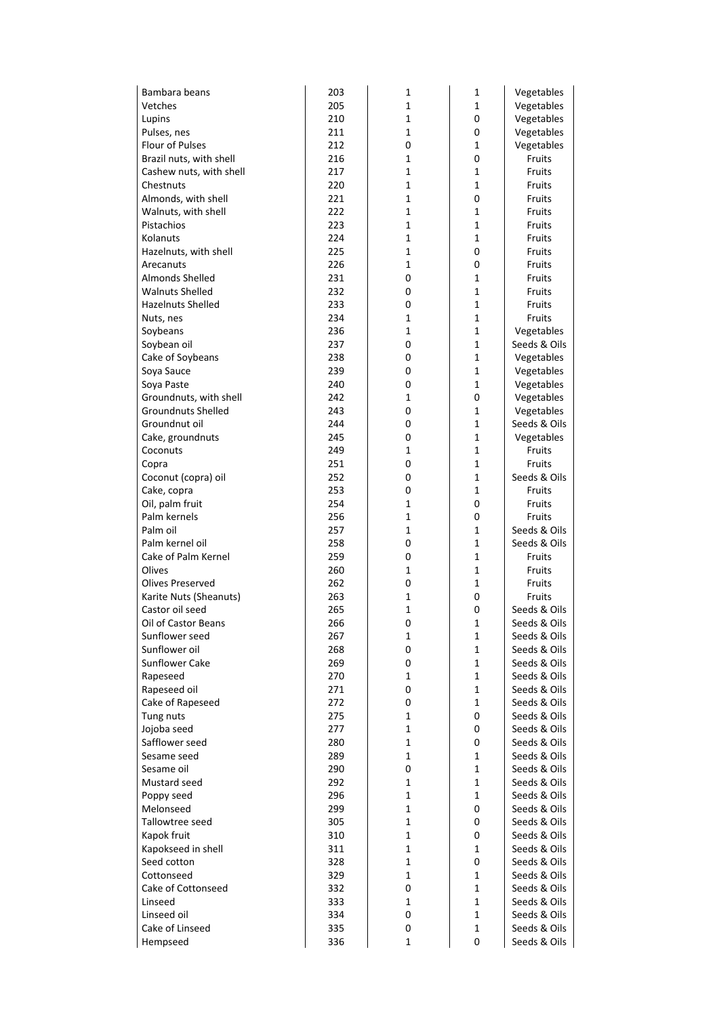| Bambara beans                  | 203        | 1                 | 1           | Vegetables                   |
|--------------------------------|------------|-------------------|-------------|------------------------------|
| Vetches                        | 205        | 1                 | 1           | Vegetables                   |
| Lupins                         | 210        | $\mathbf{1}$      | 0           | Vegetables                   |
| Pulses, nes                    | 211        | $\mathbf 1$       | 0           | Vegetables                   |
| Flour of Pulses                | 212        | 0                 | 1           | Vegetables                   |
| Brazil nuts, with shell        | 216        | 1                 | 0           | Fruits                       |
| Cashew nuts, with shell        | 217        | $\mathbf 1$       | $\mathbf 1$ | Fruits                       |
| Chestnuts                      | 220        | $\mathbf 1$       | $\mathbf 1$ | Fruits                       |
| Almonds, with shell            | 221        | 1                 | 0           | Fruits                       |
| Walnuts, with shell            | 222        | $\mathbf 1$       | $\mathbf 1$ | Fruits                       |
| Pistachios                     | 223        | 1                 | $\mathbf 1$ | Fruits                       |
| Kolanuts                       | 224        | 1                 | 1           | Fruits                       |
| Hazelnuts, with shell          | 225        | $\mathbf 1$       | 0           | Fruits                       |
| Arecanuts                      | 226        | $\mathbf{1}$      | 0           | Fruits                       |
| Almonds Shelled                | 231        | 0                 | 1           | Fruits                       |
| <b>Walnuts Shelled</b>         | 232        | 0                 | 1           | Fruits                       |
| Hazelnuts Shelled              | 233        | 0                 | $\mathbf 1$ | Fruits                       |
| Nuts, nes                      | 234        | 1                 | 1           | Fruits                       |
| Soybeans                       | 236        | $\mathbf 1$       | $\mathbf 1$ | Vegetables                   |
| Soybean oil                    | 237        | 0                 | $\mathbf 1$ | Seeds & Oils                 |
| Cake of Soybeans               | 238        | 0                 | 1           | Vegetables                   |
| Soya Sauce                     | 239        | 0                 | 1           | Vegetables                   |
| Soya Paste                     | 240        | 0                 | 1           | Vegetables                   |
| Groundnuts, with shell         | 242        | 1                 | 0           | Vegetables                   |
| <b>Groundnuts Shelled</b>      | 243        | 0                 | 1           | Vegetables                   |
| Groundnut oil                  | 244        | 0                 | $\mathbf 1$ | Seeds & Oils                 |
| Cake, groundnuts               | 245        | 0                 | 1           | Vegetables                   |
| Coconuts                       | 249        | 1                 | $\mathbf 1$ | Fruits                       |
| Copra                          | 251        | 0                 | $\mathbf 1$ | Fruits                       |
| Coconut (copra) oil            | 252        | 0                 | 1           | Seeds & Oils                 |
| Cake, copra                    | 253        | 0                 | $\mathbf 1$ | Fruits                       |
| Oil, palm fruit                | 254        | $\mathbf 1$       | 0           | Fruits                       |
| Palm kernels                   | 256        | $\mathbf 1$       | 0           | <b>Fruits</b>                |
| Palm oil                       | 257        | $\mathbf{1}$      | 1           | Seeds & Oils                 |
| Palm kernel oil                | 258        | 0                 | $\mathbf 1$ | Seeds & Oils                 |
| Cake of Palm Kernel            | 259        | 0                 | 1           | Fruits                       |
| Olives                         | 260        | 1                 | $\mathbf 1$ | Fruits                       |
| Olives Preserved               | 262        | 0                 | $\mathbf 1$ | Fruits                       |
| Karite Nuts (Sheanuts)         | 263        | 1                 | 0           | Fruits                       |
| Castor oil seed                | 265        | $\mathbf 1$       | 0           | Seeds & Oils                 |
| Oil of Castor Beans            | 266        | 0                 | 1           | Seeds & Oils                 |
| Sunflower seed                 | 267        | 1                 | 1           | Seeds & Oils                 |
| Sunflower oil                  | 268        | 0                 | 1           | Seeds & Oils                 |
| <b>Sunflower Cake</b>          | 269        | 0                 | $\mathbf 1$ | Seeds & Oils                 |
| Rapeseed                       | 270        | 1                 | 1           | Seeds & Oils                 |
| Rapeseed oil                   | 271        | 0                 | 1           | Seeds & Oils                 |
| Cake of Rapeseed               | 272        | 0                 | $\mathbf 1$ | Seeds & Oils                 |
| Tung nuts                      | 275        | 1                 | 0           | Seeds & Oils                 |
| Jojoba seed                    | 277        | $\mathbf{1}$      | 0           | Seeds & Oils                 |
| Safflower seed                 | 280        | $\mathbf 1$       | 0           | Seeds & Oils                 |
| Sesame seed                    | 289        | $\mathbf{1}$      | 1           | Seeds & Oils                 |
| Sesame oil                     | 290        | 0                 | 1           | Seeds & Oils                 |
| Mustard seed                   | 292        | 1                 | $\mathbf 1$ | Seeds & Oils                 |
| Poppy seed                     | 296        | 1                 | 1           | Seeds & Oils                 |
| Melonseed                      | 299        | $\mathbf{1}$      | 0           | Seeds & Oils                 |
| Tallowtree seed                | 305        | $\mathbf 1$       | 0           | Seeds & Oils                 |
| Kapok fruit                    | 310        | $\mathbf{1}$      | 0           | Seeds & Oils                 |
| Kapokseed in shell             | 311        | $\mathbf{1}$      | 1           | Seeds & Oils                 |
| Seed cotton                    | 328        | $\mathbf 1$       | 0           | Seeds & Oils                 |
| Cottonseed                     | 329        | 1                 | 1           | Seeds & Oils                 |
| Cake of Cottonseed             | 332        | 0<br>$\mathbf{1}$ | 1<br>1      | Seeds & Oils                 |
| Linseed                        | 333        |                   |             | Seeds & Oils<br>Seeds & Oils |
| Linseed oil<br>Cake of Linseed | 334<br>335 | 0<br>0            | 1<br>1      | Seeds & Oils                 |
|                                |            | $\mathbf{1}$      | 0           |                              |
| Hempseed                       | 336        |                   |             | Seeds & Oils                 |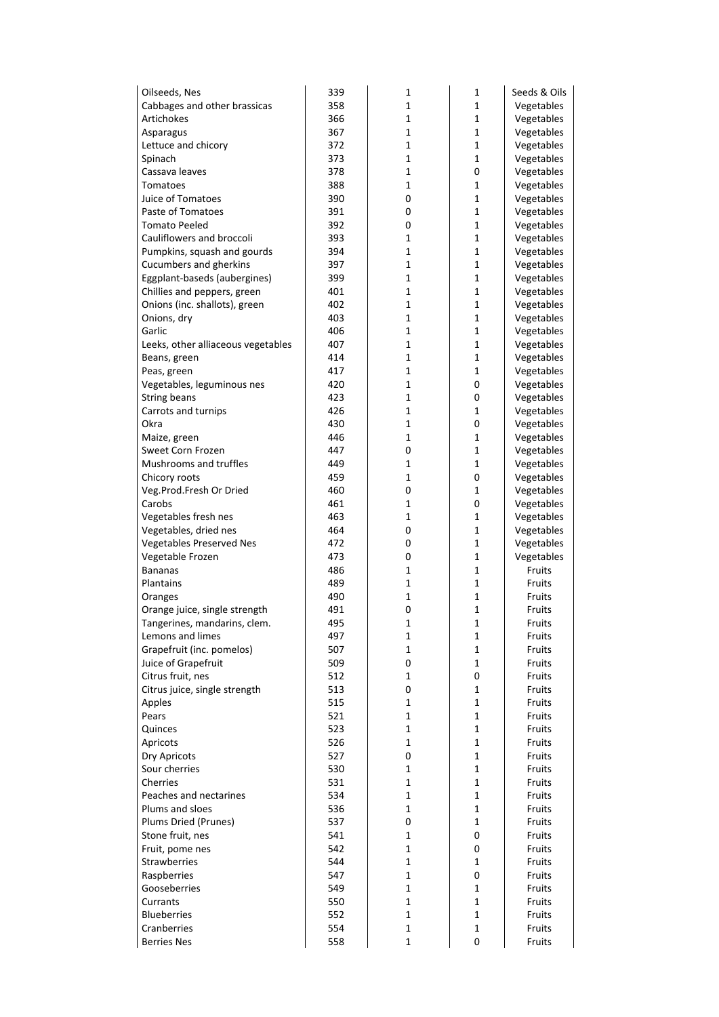| Oilseeds, Nes                                    | 339        | 1                | 1                | Seeds & Oils             |
|--------------------------------------------------|------------|------------------|------------------|--------------------------|
| Cabbages and other brassicas                     | 358        | 1                | $\mathbf 1$      | Vegetables               |
| Artichokes                                       | 366        | 1                | 1                | Vegetables               |
| Asparagus                                        | 367        | $\mathbf 1$      | $\mathbf 1$      | Vegetables               |
| Lettuce and chicory                              | 372        | 1                | 1                | Vegetables               |
| Spinach                                          | 373        | 1                | 1                | Vegetables               |
| Cassava leaves                                   | 378        | 1                | 0                | Vegetables               |
| Tomatoes                                         | 388        | $\mathbf 1$      | $\mathbf 1$      | Vegetables               |
| Juice of Tomatoes                                | 390        | $\mathbf 0$      | 1                | Vegetables               |
| Paste of Tomatoes                                | 391        | 0                | $\mathbf 1$      | Vegetables               |
| <b>Tomato Peeled</b>                             | 392        | 0                | $\mathbf{1}$     | Vegetables               |
| Cauliflowers and broccoli                        | 393        | 1                | 1                | Vegetables               |
| Pumpkins, squash and gourds                      | 394        | 1                | $\mathbf 1$      | Vegetables               |
| Cucumbers and gherkins                           | 397        | $\mathbf 1$      | $\mathbf 1$      | Vegetables               |
| Eggplant-baseds (aubergines)                     | 399        | 1<br>$\mathbf 1$ | 1<br>$\mathbf 1$ | Vegetables               |
| Chillies and peppers, green                      | 401<br>402 | 1                | 1                | Vegetables               |
| Onions (inc. shallots), green<br>Onions, dry     | 403        | 1                | 1                | Vegetables<br>Vegetables |
| Garlic                                           | 406        | $\mathbf 1$      | $\mathbf 1$      | Vegetables               |
| Leeks, other alliaceous vegetables               | 407        | $\mathbf 1$      | $\mathbf 1$      | Vegetables               |
| Beans, green                                     | 414        | 1                | 1                | Vegetables               |
| Peas, green                                      | 417        | $\mathbf 1$      | $\mathbf 1$      | Vegetables               |
| Vegetables, leguminous nes                       | 420        | 1                | 0                | Vegetables               |
| String beans                                     | 423        | 1                | 0                | Vegetables               |
| Carrots and turnips                              | 426        | $\mathbf 1$      | $\mathbf 1$      | Vegetables               |
| Okra                                             | 430        | 1                | 0                | Vegetables               |
| Maize, green                                     | 446        | 1                | 1                | Vegetables               |
| Sweet Corn Frozen                                | 447        | 0                | $\mathbf 1$      | Vegetables               |
| Mushrooms and truffles                           | 449        | 1                | 1                | Vegetables               |
| Chicory roots                                    | 459        | 1                | 0                | Vegetables               |
| Veg.Prod.Fresh Or Dried                          | 460        | 0                | $\mathbf 1$      | Vegetables               |
| Carobs                                           | 461        | 1                | 0                | Vegetables               |
| Vegetables fresh nes                             | 463        | 1                | 1                | Vegetables               |
| Vegetables, dried nes                            | 464        | 0                | $\mathbf 1$      | Vegetables               |
| <b>Vegetables Preserved Nes</b>                  | 472        | 0                | $\mathbf 1$      | Vegetables               |
| Vegetable Frozen                                 | 473        | 0                | 1                | Vegetables               |
| <b>Bananas</b>                                   | 486        | 1                | $\mathbf 1$      | Fruits                   |
| Plantains                                        | 489        | 1                | $\mathbf 1$      | Fruits                   |
| Oranges                                          | 490        | 1                | 1                | Fruits                   |
| Orange juice, single strength                    | 491        | $\mathbf 0$      | $\mathbf 1$      | Fruits                   |
| Tangerines, mandarins, clem.<br>Lemons and limes | 495<br>497 | 1<br>1           | 1<br>1           | Fruits<br>Fruits         |
| Grapefruit (inc. pomelos)                        | 507        | $\mathbf 1$      | $\mathbf 1$      | Fruits                   |
| Juice of Grapefruit                              | 509        | 0                | $\mathbf{1}$     | Fruits                   |
| Citrus fruit, nes                                | 512        | 1                | 0                | Fruits                   |
| Citrus juice, single strength                    | 513        | 0                | $\mathbf{1}$     | Fruits                   |
| Apples                                           | 515        | 1                | 1                | Fruits                   |
| Pears                                            | 521        | 1                | 1                | Fruits                   |
| Quinces                                          | 523        | $\mathbf{1}$     | $\mathbf 1$      | Fruits                   |
| Apricots                                         | 526        | $\mathbf{1}$     | $\mathbf 1$      | Fruits                   |
| Dry Apricots                                     | 527        | 0                | 1                | Fruits                   |
| Sour cherries                                    | 530        | 1                | 1                | Fruits                   |
| Cherries                                         | 531        | 1                | 1                | Fruits                   |
| Peaches and nectarines                           | 534        | 1                | 1                | Fruits                   |
| Plums and sloes                                  | 536        | $\mathbf{1}$     | $\mathbf{1}$     | Fruits                   |
| Plums Dried (Prunes)                             | 537        | 0                | $\mathbf{1}$     | Fruits                   |
| Stone fruit, nes                                 | 541        | $\mathbf{1}$     | 0                | Fruits                   |
| Fruit, pome nes                                  | 542        | $\mathbf{1}$     | 0                | Fruits                   |
| <b>Strawberries</b>                              | 544        | 1                | 1                | Fruits                   |
| Raspberries                                      | 547        | 1                | 0                | Fruits                   |
| Gooseberries                                     | 549        | $\mathbf{1}$     | $\mathbf{1}$     | Fruits                   |
| Currants                                         | 550        | $\mathbf{1}$     | $\mathbf{1}$     | Fruits                   |
| <b>Blueberries</b>                               | 552        | $\mathbf{1}$     | 1                | Fruits                   |
| Cranberries                                      | 554        | $\mathbf{1}$     | 1                | Fruits                   |
| <b>Berries Nes</b>                               | 558        | 1                | 0                | Fruits                   |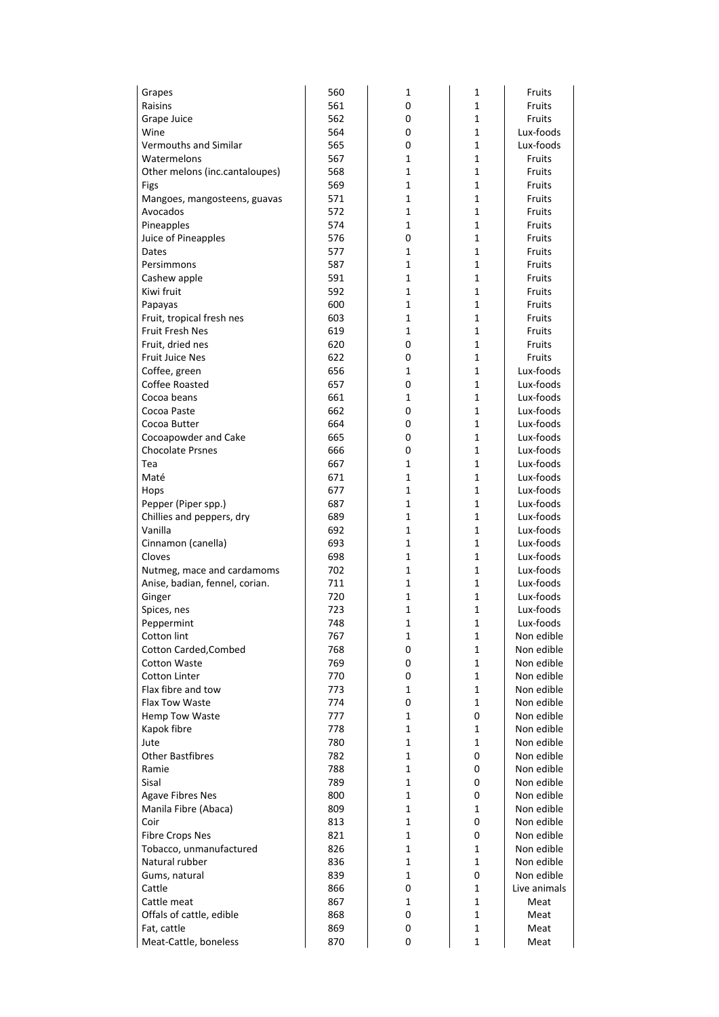| Grapes                                  | 560        | 1                | 1                | Fruits                 |
|-----------------------------------------|------------|------------------|------------------|------------------------|
| Raisins                                 | 561        | 0                | 1                | Fruits                 |
| Grape Juice                             | 562        | 0                | 1                | Fruits                 |
| Wine                                    | 564        | 0                | $\mathbf 1$      | Lux-foods              |
| Vermouths and Similar                   | 565        | 0                | 1                | Lux-foods              |
| Watermelons                             | 567        | 1                | 1                | Fruits                 |
| Other melons (inc.cantaloupes)          | 568        | $\mathbf 1$      | $\mathbf 1$      | Fruits                 |
| Figs                                    | 569        | 1                | 1                | Fruits                 |
| Mangoes, mangosteens, guavas            | 571        | 1                | 1                | Fruits                 |
| Avocados                                | 572        | $\mathbf 1$      | $\mathbf 1$      | Fruits                 |
| Pineapples                              | 574        | 1                | 1                | Fruits                 |
| Juice of Pineapples                     | 576        | 0                | 1                | Fruits                 |
| Dates                                   | 577        | 1<br>1           | $\mathbf 1$<br>1 | Fruits                 |
| Persimmons<br>Cashew apple              | 587<br>591 | 1                | 1                | Fruits<br>Fruits       |
| Kiwi fruit                              | 592        | 1                | 1                | Fruits                 |
| Papayas                                 | 600        | 1                | 1                | Fruits                 |
| Fruit, tropical fresh nes               | 603        | 1                | 1                | Fruits                 |
| <b>Fruit Fresh Nes</b>                  | 619        | 1                | 1                | Fruits                 |
| Fruit, dried nes                        | 620        | 0                | 1                | Fruits                 |
| <b>Fruit Juice Nes</b>                  | 622        | 0                | 1                | Fruits                 |
| Coffee, green                           | 656        | 1                | 1                | Lux-foods              |
| Coffee Roasted                          | 657        | 0                | 1                | Lux-foods              |
| Cocoa beans                             | 661        | 1                | 1                | Lux-foods              |
| Cocoa Paste                             | 662        | 0                | 1                | Lux-foods              |
| Cocoa Butter                            | 664        | 0                | $\mathbf 1$      | Lux-foods              |
| Cocoapowder and Cake                    | 665        | 0                | 1                | Lux-foods              |
| <b>Chocolate Prsnes</b>                 | 666        | 0                | 1                | Lux-foods              |
| Tea                                     | 667        | $\mathbf 1$      | $\mathbf 1$      | Lux-foods              |
| Maté                                    | 671        | 1                | 1                | Lux-foods              |
| Hops                                    | 677        | 1                | $\mathbf 1$      | Lux-foods              |
| Pepper (Piper spp.)                     | 687        | $\mathbf 1$      | $\mathbf 1$      | Lux-foods              |
| Chillies and peppers, dry               | 689        | 1                | 1                | Lux-foods              |
| Vanilla                                 | 692        | 1                | 1                | Lux-foods              |
| Cinnamon (canella)                      | 693        | $\mathbf 1$      | $\mathbf 1$      | Lux-foods              |
| Cloves                                  | 698        | 1                | 1                | Lux-foods              |
| Nutmeg, mace and cardamoms              | 702        | 1                | $\mathbf 1$      | Lux-foods              |
| Anise, badian, fennel, corian.          | 711        | $\mathbf 1$      | $\mathbf 1$      | Lux-foods              |
| Ginger                                  | 720<br>723 | 1<br>$\mathbf 1$ | 1<br>$\mathbf 1$ | Lux-foods<br>Lux-foods |
| Spices, nes<br>Peppermint               | 748        | 1                | 1                | Lux-foods              |
| Cotton lint                             | 767        | 1                | 1                | Non edible             |
| Cotton Carded, Combed                   | 768        | 0                | 1                | Non edible             |
| <b>Cotton Waste</b>                     | 769        | 0                | $\mathbf 1$      | Non edible             |
| <b>Cotton Linter</b>                    | 770        | 0                | 1                | Non edible             |
| Flax fibre and tow                      | 773        | 1                | 1                | Non edible             |
| <b>Flax Tow Waste</b>                   | 774        | 0                | 1                | Non edible             |
| Hemp Tow Waste                          | 777        | 1                | 0                | Non edible             |
| Kapok fibre                             | 778        | 1                | 1                | Non edible             |
| Jute                                    | 780        | $\mathbf 1$      | $\mathbf 1$      | Non edible             |
| <b>Other Bastfibres</b>                 | 782        | 1                | 0                | Non edible             |
| Ramie                                   | 788        | 1                | 0                | Non edible             |
| Sisal                                   | 789        | 1                | 0                | Non edible             |
| <b>Agave Fibres Nes</b>                 | 800        | 1                | 0                | Non edible             |
| Manila Fibre (Abaca)                    | 809        | 1                | 1                | Non edible             |
| Coir                                    | 813        | $\mathbf 1$      | 0                | Non edible             |
| <b>Fibre Crops Nes</b>                  | 821        | 1                | 0                | Non edible             |
| Tobacco, unmanufactured                 | 826        | 1                | 1                | Non edible             |
| Natural rubber                          | 836        | 1                | 1                | Non edible             |
| Gums, natural                           | 839        | 1<br>0           | 0                | Non edible             |
| Cattle                                  | 866<br>867 | 1                | 1<br>$\mathbf 1$ | Live animals           |
| Cattle meat                             | 868        | 0                | 1                | Meat<br>Meat           |
| Offals of cattle, edible<br>Fat, cattle | 869        | 0                | 1                | Meat                   |
| Meat-Cattle, boneless                   | 870        | 0                | 1                | Meat                   |
|                                         |            |                  |                  |                        |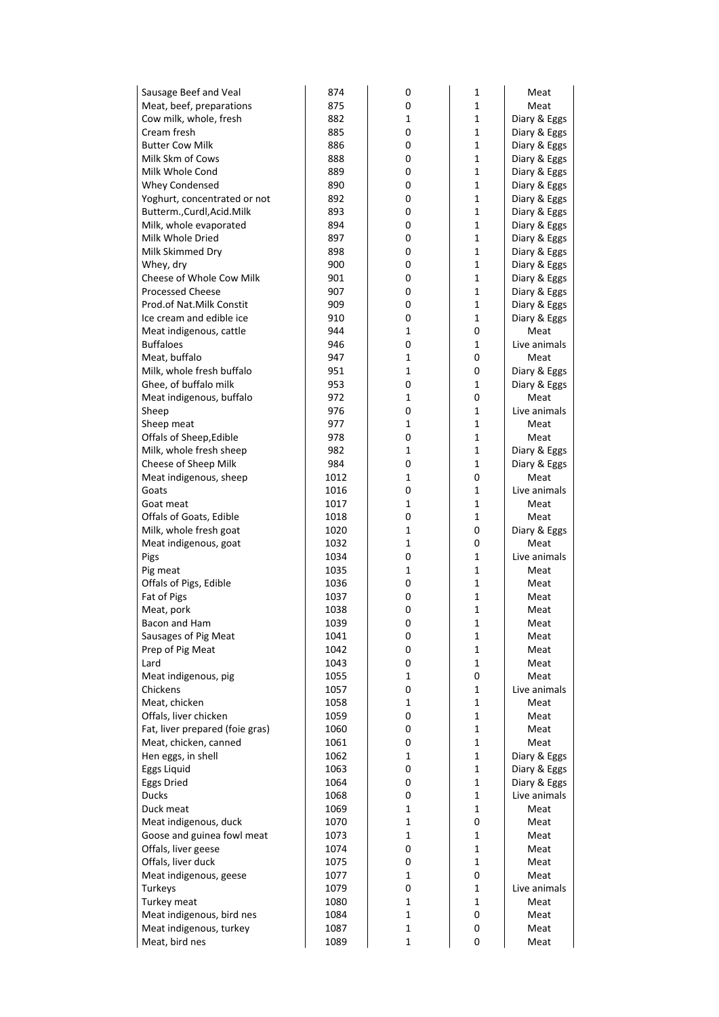| Sausage Beef and Veal           | 874  | 0            | 1           | Meat         |
|---------------------------------|------|--------------|-------------|--------------|
| Meat, beef, preparations        | 875  | 0            | 1           | Meat         |
| Cow milk, whole, fresh          | 882  | 1            | $\mathbf 1$ | Diary & Eggs |
| Cream fresh                     | 885  | 0            | 1           | Diary & Eggs |
| <b>Butter Cow Milk</b>          | 886  | 0            | 1           | Diary & Eggs |
| Milk Skm of Cows                | 888  | 0            | $\mathbf 1$ | Diary & Eggs |
| Milk Whole Cond                 | 889  | 0            | 1           | Diary & Eggs |
| Whey Condensed                  | 890  | 0            | $\mathbf 1$ | Diary & Eggs |
| Yoghurt, concentrated or not    | 892  | 0            | $\mathbf 1$ | Diary & Eggs |
| Butterm., Curdl, Acid. Milk     | 893  | 0            | 1           | Diary & Eggs |
| Milk, whole evaporated          | 894  | 0            | 1           | Diary & Eggs |
| Milk Whole Dried                | 897  | 0            | 1           | Diary & Eggs |
| Milk Skimmed Dry                | 898  | 0            | 1           | Diary & Eggs |
| Whey, dry                       | 900  | 0            | $\mathbf 1$ | Diary & Eggs |
| Cheese of Whole Cow Milk        | 901  | 0            | $\mathbf 1$ | Diary & Eggs |
| <b>Processed Cheese</b>         | 907  | 0            | 1           | Diary & Eggs |
| Prod.of Nat.Milk Constit        | 909  | 0            | 1           | Diary & Eggs |
| Ice cream and edible ice        | 910  | 0            | $\mathbf 1$ | Diary & Eggs |
| Meat indigenous, cattle         | 944  | 1            | 0           | Meat         |
| <b>Buffaloes</b>                | 946  | 0            | $\mathbf 1$ | Live animals |
| Meat, buffalo                   | 947  | $\mathbf 1$  | 0           | Meat         |
| Milk, whole fresh buffalo       | 951  | 1            | 0           | Diary & Eggs |
| Ghee, of buffalo milk           | 953  | 0            | 1           | Diary & Eggs |
| Meat indigenous, buffalo        | 972  | 1            | 0           | Meat         |
| Sheep                           | 976  | 0            | 1           | Live animals |
| Sheep meat                      | 977  | 1            | $\mathbf 1$ | Meat         |
| Offals of Sheep, Edible         | 978  | 0            | $\mathbf 1$ | Meat         |
| Milk, whole fresh sheep         | 982  | 1            | 1           | Diary & Eggs |
| Cheese of Sheep Milk            | 984  | 0            | 1           | Diary & Eggs |
| Meat indigenous, sheep          | 1012 | 1            | 0           | Meat         |
| Goats                           | 1016 | 0            | 1           | Live animals |
| Goat meat                       | 1017 | 1            | $\mathbf 1$ | Meat         |
| Offals of Goats, Edible         | 1018 | 0            | 1           | Meat         |
| Milk, whole fresh goat          | 1020 | 1            | 0           | Diary & Eggs |
| Meat indigenous, goat           | 1032 | 1            | 0           | Meat         |
| Pigs                            | 1034 | 0            | 1           | Live animals |
| Pig meat                        | 1035 | 1            | $\mathbf 1$ | Meat         |
| Offals of Pigs, Edible          | 1036 | 0            | $\mathbf 1$ | Meat         |
| Fat of Pigs                     | 1037 | 0            | $\mathbf 1$ | Meat         |
| Meat, pork                      | 1038 | 0            | $\mathbf 1$ | Meat         |
| Bacon and Ham                   | 1039 | 0            | 1           | Meat         |
| Sausages of Pig Meat            | 1041 | 0            | 1           | Meat         |
| Prep of Pig Meat                | 1042 | 0            | 1           | Meat         |
| Lard                            | 1043 | 0            | $\mathbf 1$ | Meat         |
| Meat indigenous, pig            | 1055 | 1            | 0           | Meat         |
| Chickens                        | 1057 | 0            | 1           | Live animals |
| Meat, chicken                   | 1058 | 1            | 1           | Meat         |
| Offals, liver chicken           | 1059 | 0            | 1           | Meat         |
| Fat, liver prepared (foie gras) | 1060 | 0            | $\mathbf 1$ | Meat         |
| Meat, chicken, canned           | 1061 | 0            | $\mathbf 1$ | Meat         |
| Hen eggs, in shell              | 1062 | 1            | 1           | Diary & Eggs |
| Eggs Liquid                     | 1063 | 0            | 1           | Diary & Eggs |
| Eggs Dried                      | 1064 | 0            | 1           | Diary & Eggs |
| <b>Ducks</b>                    | 1068 | 0            | 1           | Live animals |
| Duck meat                       | 1069 | 1            | 1           | Meat         |
| Meat indigenous, duck           | 1070 | $\mathbf 1$  | 0           | Meat         |
| Goose and guinea fowl meat      | 1073 | 1            | 1           | Meat         |
| Offals, liver geese             | 1074 | 0            | 1           | Meat         |
| Offals, liver duck              | 1075 | 0            | 1           | Meat         |
| Meat indigenous, geese          | 1077 | 1            | 0           | Meat         |
| Turkeys                         | 1079 | 0            | 1           | Live animals |
| Turkey meat                     | 1080 | $\mathbf 1$  | $\mathbf 1$ | Meat         |
| Meat indigenous, bird nes       | 1084 | 1            | 0           | Meat         |
| Meat indigenous, turkey         | 1087 | $\mathbf{1}$ | 0           | Meat         |
| Meat, bird nes                  | 1089 | $\mathbf 1$  | 0           | Meat         |
|                                 |      |              |             |              |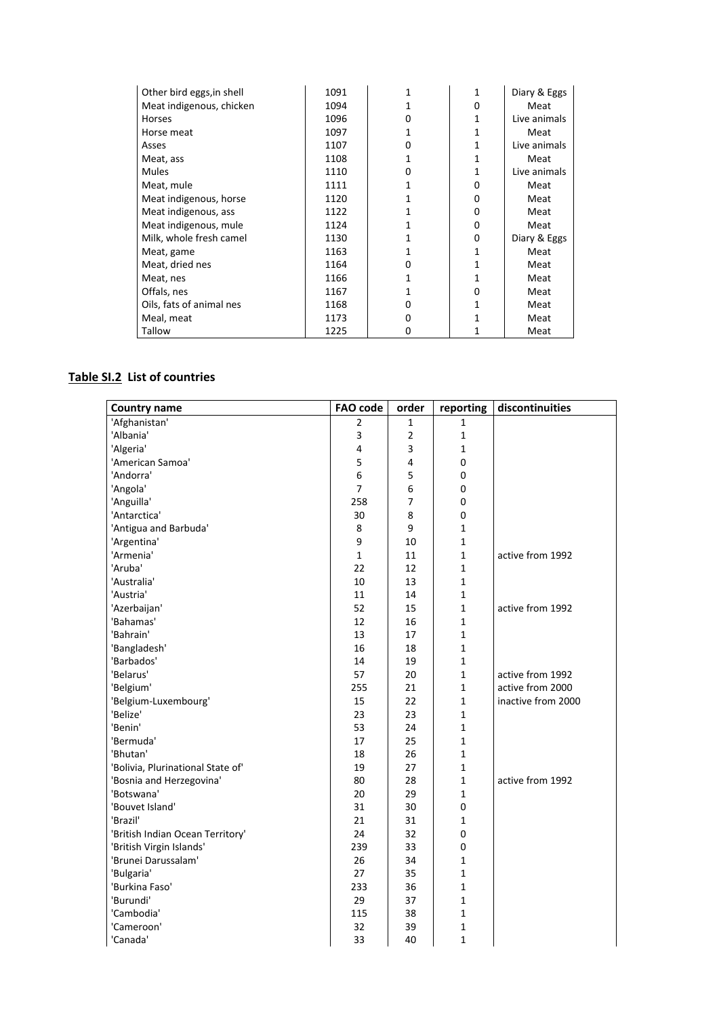| Other bird eggs, in shell | 1091 | 1 | 1        | Diary & Eggs |
|---------------------------|------|---|----------|--------------|
| Meat indigenous, chicken  | 1094 |   | $\Omega$ | Meat         |
| Horses                    | 1096 | 0 | 1        | Live animals |
| Horse meat                | 1097 |   | 1        | Meat         |
| Asses                     | 1107 | 0 | 1        | Live animals |
| Meat, ass                 | 1108 |   |          | Meat         |
| <b>Mules</b>              | 1110 | 0 |          | Live animals |
| Meat, mule                | 1111 | 1 | 0        | Meat         |
| Meat indigenous, horse    | 1120 |   | $\Omega$ | Meat         |
| Meat indigenous, ass      | 1122 |   | $\Omega$ | Meat         |
| Meat indigenous, mule     | 1124 |   | $\Omega$ | Meat         |
| Milk, whole fresh camel   | 1130 |   | $\Omega$ | Diary & Eggs |
| Meat, game                | 1163 |   | 1        | Meat         |
| Meat, dried nes           | 1164 | 0 | 1        | Meat         |
| Meat, nes                 | 1166 |   |          | Meat         |
| Offals, nes               | 1167 |   | $\Omega$ | Meat         |
| Oils, fats of animal nes  | 1168 | 0 | 1        | Meat         |
| Meal, meat                | 1173 | 0 |          | Meat         |
| Tallow                    | 1225 | 0 |          | Meat         |

## **Table SI.2 List of countries**

| <b>Country name</b>               | <b>FAO code</b> | order          | reporting        | discontinuities    |
|-----------------------------------|-----------------|----------------|------------------|--------------------|
| 'Afghanistan'                     | 2               | 1              | 1                |                    |
| 'Albania'                         | 3               | $\overline{2}$ | $\mathbf{1}$     |                    |
| 'Algeria'                         | 4               | 3              | 1                |                    |
| 'American Samoa'                  | 5               | 4              | 0                |                    |
| 'Andorra'                         | 6               | 5              | 0                |                    |
| 'Angola'                          | $\overline{7}$  | 6              | 0                |                    |
| 'Anguilla'                        | 258             | 7              | 0                |                    |
| 'Antarctica'                      | 30              | 8              | 0                |                    |
| 'Antigua and Barbuda'             | 8               | 9              | 1                |                    |
| 'Argentina'                       | 9               | 10             | 1                |                    |
| 'Armenia'                         | $\mathbf{1}$    | 11             | $\mathbf{1}$     | active from 1992   |
| 'Aruba'                           | 22              | 12             | $\mathbf{1}$     |                    |
| 'Australia'                       | 10              | 13             | 1                |                    |
| 'Austria'                         | 11              | 14             | $\mathbf{1}$     |                    |
| 'Azerbaijan'                      | 52              | 15             | $\mathbf{1}$     | active from 1992   |
| 'Bahamas'                         | 12              | 16             | $\mathbf{1}$     |                    |
| 'Bahrain'                         | 13              | 17             | $\mathbf{1}$     |                    |
| 'Bangladesh'                      | 16              | 18             | $\mathbf{1}$     |                    |
| 'Barbados'                        | 14              | 19             | 1                |                    |
| 'Belarus'                         | 57              | 20             | $\mathbf{1}$     | active from 1992   |
| 'Belgium'                         | 255             | 21             | $\mathbf{1}$     | active from 2000   |
| 'Belgium-Luxembourg'              | 15              | 22             | $\mathbf{1}$     | inactive from 2000 |
| 'Belize'                          | 23              | 23             | 1                |                    |
| 'Benin'                           | 53              | 24             | 1                |                    |
| 'Bermuda'                         | 17              | 25             | $\mathbf{1}$     |                    |
| 'Bhutan'                          | 18              | 26             | 1                |                    |
| 'Bolivia, Plurinational State of' | 19              | 27             | $\mathbf{1}$     |                    |
| 'Bosnia and Herzegovina'          | 80              | 28             | $\mathbf{1}$     | active from 1992   |
| 'Botswana'                        | 20              | 29             | $\mathbf{1}$     |                    |
| 'Bouvet Island'                   | 31              | 30             | $\boldsymbol{0}$ |                    |
| 'Brazil'                          | 21              | 31             | 1                |                    |
| 'British Indian Ocean Territory'  | 24              | 32             | 0                |                    |
| 'British Virgin Islands'          | 239             | 33             | 0                |                    |
| 'Brunei Darussalam'               | 26              | 34             | 1                |                    |
| 'Bulgaria'                        | 27              | 35             | $\mathbf{1}$     |                    |
| 'Burkina Faso'                    | 233             | 36             | 1                |                    |
| 'Burundi'                         | 29              | 37             | 1                |                    |
| 'Cambodia'                        | 115             | 38             | $\mathbf 1$      |                    |
| 'Cameroon'                        | 32              | 39             | 1                |                    |
| 'Canada'                          | 33              | 40             | $\mathbf{1}$     |                    |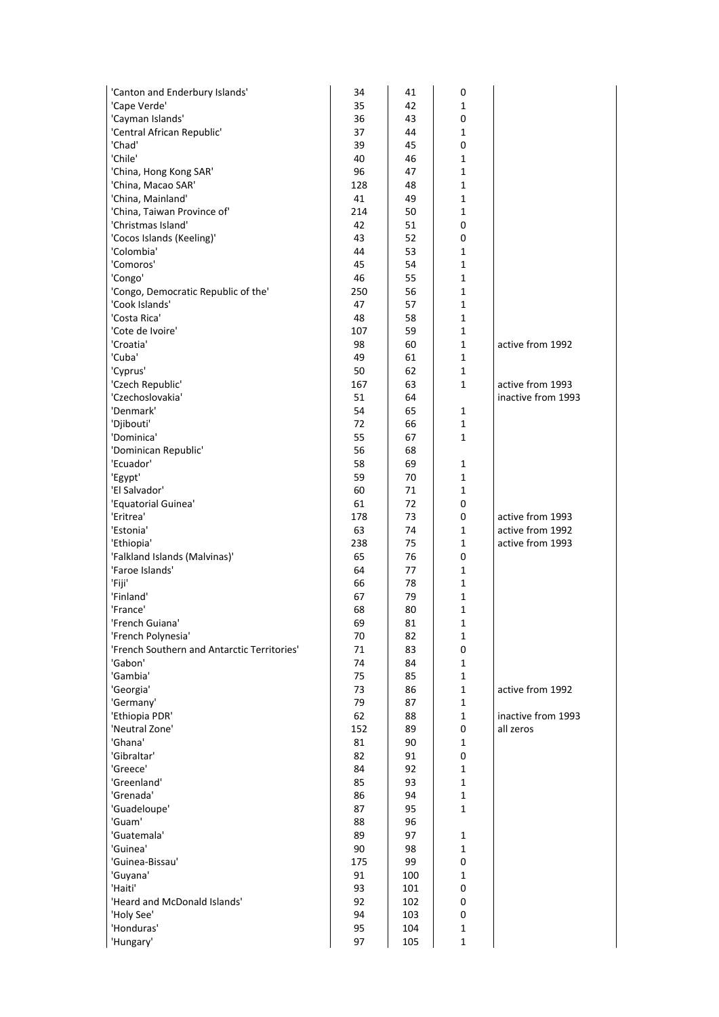| 'Canton and Enderbury Islands'              | 34        | 41       | 0            |                    |
|---------------------------------------------|-----------|----------|--------------|--------------------|
| 'Cape Verde'                                | 35        | 42       | 1            |                    |
| 'Cayman Islands'                            | 36        | 43       | 0            |                    |
| 'Central African Republic'                  | 37        | 44       | $\mathbf{1}$ |                    |
| 'Chad'                                      | 39        | 45       | $\mathbf 0$  |                    |
| 'Chile'                                     | 40        | 46       | 1            |                    |
| 'China, Hong Kong SAR'                      | 96        | 47       | $\mathbf{1}$ |                    |
| 'China, Macao SAR'                          | 128       | 48       | $\mathbf{1}$ |                    |
| 'China, Mainland'                           | 41        | 49       | $\mathbf{1}$ |                    |
| 'China, Taiwan Province of'                 | 214       | 50       | 1            |                    |
| 'Christmas Island'                          | 42        | 51       | $\mathbf 0$  |                    |
| 'Cocos Islands (Keeling)'                   | 43        | 52       | 0            |                    |
| 'Colombia'                                  | 44        | 53       | 1            |                    |
| 'Comoros'                                   | 45        | 54       | $\mathbf{1}$ |                    |
| 'Congo'                                     | 46        | 55       | $\mathbf{1}$ |                    |
| 'Congo, Democratic Republic of the'         | 250       | 56       | $\mathbf{1}$ |                    |
| 'Cook Islands'                              | 47        | 57       | 1            |                    |
| 'Costa Rica'                                | 48        | 58       | 1            |                    |
| 'Cote de Ivoire'                            | 107       | 59       | $\mathbf{1}$ |                    |
| 'Croatia'                                   | 98        | 60       | $\mathbf{1}$ | active from 1992   |
| 'Cuba'                                      | 49        | 61       | $\mathbf{1}$ |                    |
| 'Cyprus'                                    | 50        | 62       | 1            |                    |
| 'Czech Republic'                            | 167       | 63       | 1            | active from 1993   |
| 'Czechoslovakia'                            | 51        | 64       |              | inactive from 1993 |
| 'Denmark'                                   | 54        | 65       | 1            |                    |
| 'Djibouti'                                  | 72        | 66       | $\mathbf{1}$ |                    |
| 'Dominica'                                  | 55        | 67       | $\mathbf{1}$ |                    |
| 'Dominican Republic'                        | 56        | 68       |              |                    |
| 'Ecuador'                                   | 58        | 69       | 1            |                    |
| 'Egypt'                                     | 59        | 70       | 1            |                    |
| 'El Salvador'                               | 60        | 71<br>72 | 1            |                    |
| 'Equatorial Guinea'<br>'Eritrea'            | 61        | 73       | 0<br>0       | active from 1993   |
| 'Estonia'                                   | 178<br>63 | 74       | 1            | active from 1992   |
| 'Ethiopia'                                  | 238       | 75       | 1            | active from 1993   |
| 'Falkland Islands (Malvinas)'               | 65        | 76       | 0            |                    |
| 'Faroe Islands'                             | 64        | 77       | 1            |                    |
| 'Fiji'                                      | 66        | 78       | $\mathbf{1}$ |                    |
| 'Finland'                                   | 67        | 79       | $\mathbf{1}$ |                    |
| 'France'                                    | 68        | 80       | $\mathbf{1}$ |                    |
| 'French Guiana'                             | 69        | 81       | 1            |                    |
| 'French Polynesia'                          | 70        | 82       | 1            |                    |
| 'French Southern and Antarctic Territories' | 71        | 83       | 0            |                    |
| 'Gabon'                                     | 74        | 84       | $\mathbf{1}$ |                    |
| 'Gambia'                                    | 75        | 85       | $\mathbf{1}$ |                    |
| 'Georgia'                                   | 73        | 86       | 1            | active from 1992   |
| 'Germany'                                   | 79        | 87       | 1            |                    |
| 'Ethiopia PDR'                              | 62        | 88       | $\mathbf{1}$ | inactive from 1993 |
| 'Neutral Zone'                              | 152       | 89       | 0            | all zeros          |
| 'Ghana'                                     | 81        | 90       | $\mathbf{1}$ |                    |
| 'Gibraltar'                                 | 82        | 91       | 0            |                    |
| 'Greece'                                    | 84        | 92       | 1            |                    |
| 'Greenland'                                 | 85        | 93       | $\mathbf{1}$ |                    |
| 'Grenada'                                   | 86        | 94       | $\mathbf{1}$ |                    |
| 'Guadeloupe'                                | 87        | 95       | $\mathbf{1}$ |                    |
| 'Guam'                                      | 88        | 96       |              |                    |
| 'Guatemala'                                 | 89        | 97       | 1            |                    |
| 'Guinea'                                    | 90        | 98       | 1            |                    |
| 'Guinea-Bissau'                             | 175       | 99       | 0            |                    |
| 'Guyana'                                    | 91        | 100      | $\mathbf{1}$ |                    |
| 'Haiti'                                     | 93        | 101      | 0            |                    |
| 'Heard and McDonald Islands'                | 92        | 102      | 0            |                    |
| 'Holy See'                                  | 94        | 103      | 0            |                    |
| 'Honduras'                                  | 95        | 104      | 1            |                    |
| 'Hungary'                                   | 97        | 105      | $\mathbf 1$  |                    |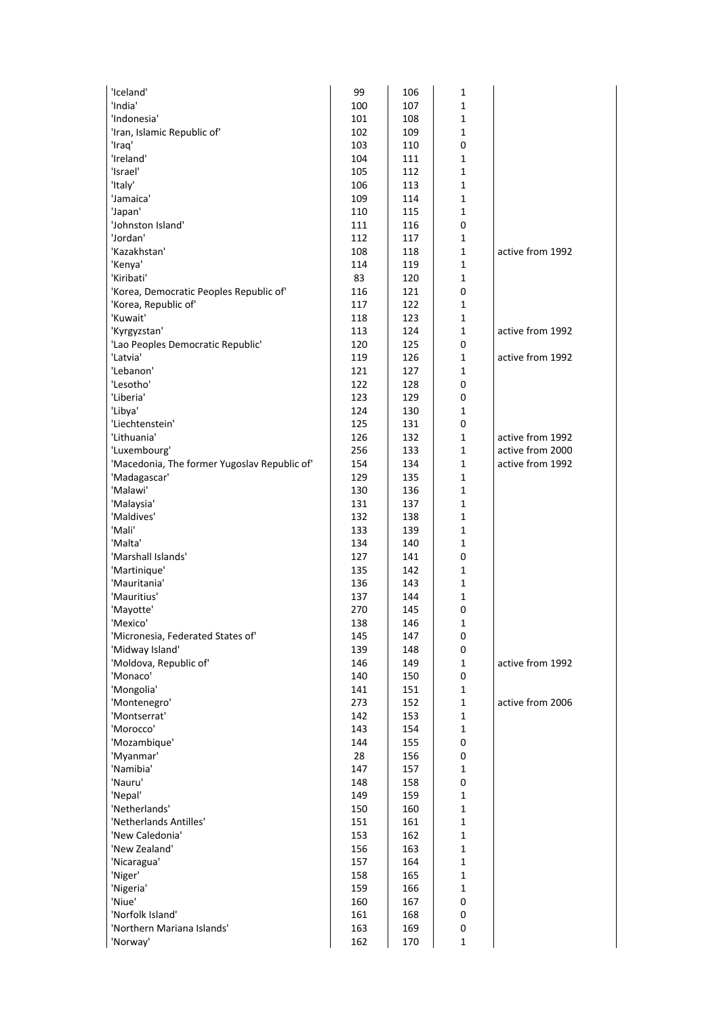| 'Iceland'                                     | 99  | 106 | 1            |                  |
|-----------------------------------------------|-----|-----|--------------|------------------|
| 'India'                                       | 100 | 107 | 1            |                  |
| 'Indonesia'                                   | 101 | 108 | 1            |                  |
| 'Iran, Islamic Republic of'                   | 102 | 109 | $\mathbf 1$  |                  |
| 'Iraq'                                        | 103 | 110 | 0            |                  |
| 'Ireland'                                     | 104 | 111 | 1            |                  |
| 'Israel'                                      | 105 | 112 | 1            |                  |
| 'Italy'                                       | 106 | 113 | 1            |                  |
| 'Jamaica'                                     | 109 | 114 | 1            |                  |
| 'Japan'                                       | 110 | 115 | $\mathbf 1$  |                  |
| 'Johnston Island'                             | 111 | 116 | 0            |                  |
| 'Jordan'                                      | 112 | 117 | 1            |                  |
| 'Kazakhstan'                                  | 108 | 118 | 1            | active from 1992 |
| 'Kenya'                                       | 114 | 119 | 1            |                  |
| 'Kiribati'                                    | 83  | 120 | 1            |                  |
| 'Korea, Democratic Peoples Republic of'       | 116 | 121 | 0            |                  |
| 'Korea, Republic of'                          | 117 | 122 | 1            |                  |
| 'Kuwait'                                      | 118 | 123 | 1            |                  |
| 'Kyrgyzstan'                                  | 113 | 124 | 1            | active from 1992 |
|                                               | 120 | 125 | 0            |                  |
| 'Lao Peoples Democratic Republic'<br>'Latvia' | 119 | 126 | 1            | active from 1992 |
| 'Lebanon'                                     | 121 | 127 | 1            |                  |
|                                               |     |     |              |                  |
| 'Lesotho'<br>'Liberia'                        | 122 | 128 | 0            |                  |
|                                               | 123 | 129 | 0            |                  |
| 'Libya'                                       | 124 | 130 | 1            |                  |
| 'Liechtenstein'                               | 125 | 131 | 0            |                  |
| 'Lithuania'                                   | 126 | 132 | 1            | active from 1992 |
| 'Luxembourg'                                  | 256 | 133 | $\mathbf 1$  | active from 2000 |
| 'Macedonia, The former Yugoslav Republic of'  | 154 | 134 | 1            | active from 1992 |
| 'Madagascar'                                  | 129 | 135 | 1            |                  |
| 'Malawi'                                      | 130 | 136 | 1            |                  |
| 'Malaysia'                                    | 131 | 137 | 1            |                  |
| 'Maldives'                                    | 132 | 138 | 1            |                  |
| 'Mali'                                        | 133 | 139 | $\mathbf 1$  |                  |
| 'Malta'                                       | 134 | 140 | 1            |                  |
| 'Marshall Islands'                            | 127 | 141 | 0            |                  |
| 'Martinique'                                  | 135 | 142 | 1            |                  |
| 'Mauritania'                                  | 136 | 143 | 1            |                  |
| 'Mauritius'                                   | 137 | 144 | $\mathbf{1}$ |                  |
| 'Mayotte'                                     | 270 | 145 | 0            |                  |
| 'Mexico'                                      | 138 | 146 | 1            |                  |
| 'Micronesia, Federated States of'             | 145 | 147 | 0            |                  |
| 'Midway Island'                               | 139 | 148 | 0            |                  |
| 'Moldova, Republic of'                        | 146 | 149 | $\mathbf{1}$ | active from 1992 |
| 'Monaco'                                      | 140 | 150 | 0            |                  |
| 'Mongolia'                                    | 141 | 151 | $\mathbf{1}$ |                  |
| 'Montenegro'                                  | 273 | 152 | $\mathbf{1}$ | active from 2006 |
| 'Montserrat'                                  | 142 | 153 | $\mathbf{1}$ |                  |
| 'Morocco'                                     | 143 | 154 | $\mathbf{1}$ |                  |
| 'Mozambique'                                  | 144 | 155 | 0            |                  |
| 'Myanmar'                                     | 28  | 156 | 0            |                  |
| 'Namibia'                                     | 147 | 157 | 1            |                  |
| 'Nauru'                                       | 148 | 158 | 0            |                  |
| 'Nepal'                                       | 149 | 159 | 1            |                  |
| 'Netherlands'                                 | 150 | 160 | 1            |                  |
| 'Netherlands Antilles'                        | 151 | 161 | $\mathbf 1$  |                  |
| 'New Caledonia'                               | 153 | 162 | $\mathbf{1}$ |                  |
| 'New Zealand'                                 | 156 | 163 | 1            |                  |
| 'Nicaragua'                                   | 157 | 164 | $\mathbf 1$  |                  |
| 'Niger'                                       | 158 | 165 | 1            |                  |
| 'Nigeria'                                     | 159 | 166 | 1            |                  |
| 'Niue'                                        | 160 | 167 | 0            |                  |
| 'Norfolk Island'                              | 161 | 168 | 0            |                  |
| 'Northern Mariana Islands'                    | 163 | 169 | 0            |                  |
| 'Norway'                                      | 162 | 170 | $\mathbf 1$  |                  |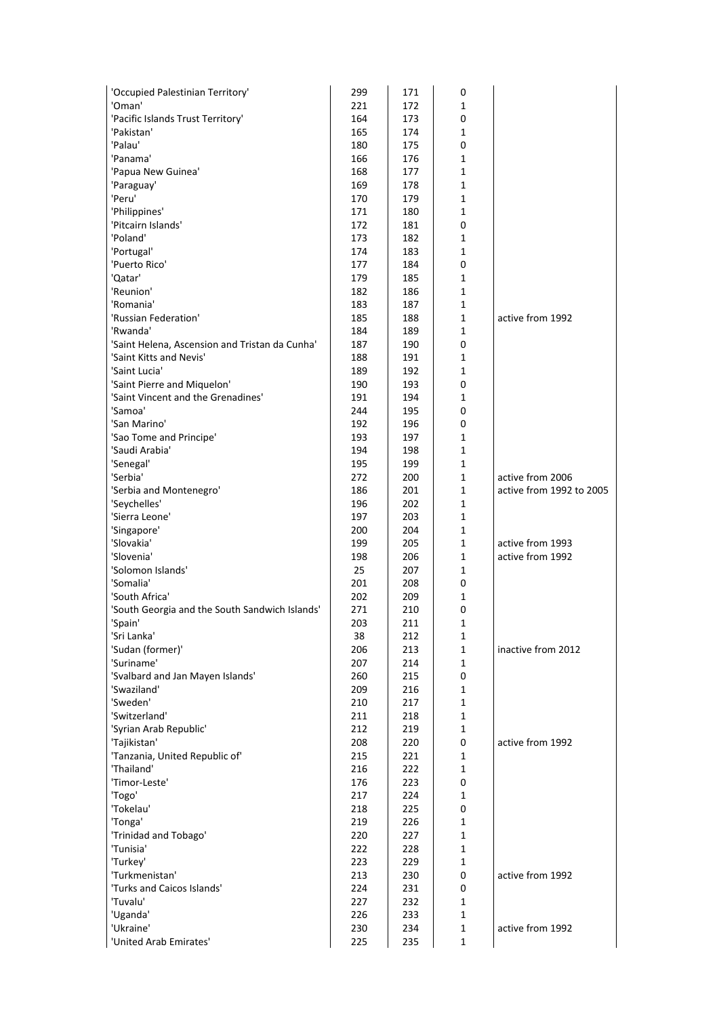| 'Occupied Palestinian Territory'               | 299        | 171        | 0            |                                              |
|------------------------------------------------|------------|------------|--------------|----------------------------------------------|
| 'Oman'                                         | 221        | 172        | 1            |                                              |
| 'Pacific Islands Trust Territory'              | 164        | 173        | 0            |                                              |
| 'Pakistan'                                     | 165        | 174        | 1            |                                              |
| 'Palau'                                        | 180        | 175        | 0            |                                              |
| 'Panama'                                       | 166        | 176        | 1            |                                              |
| 'Papua New Guinea'                             | 168        | 177        | 1            |                                              |
| 'Paraguay'                                     | 169        | 178        | 1            |                                              |
| 'Peru'                                         | 170        | 179        | 1            |                                              |
| 'Philippines'                                  | 171        | 180        | 1            |                                              |
| 'Pitcairn Islands'<br>'Poland'                 | 172<br>173 | 181<br>182 | 0<br>1       |                                              |
| 'Portugal'                                     | 174        | 183        | 1            |                                              |
| 'Puerto Rico'                                  | 177        | 184        | 0            |                                              |
| 'Qatar'                                        | 179        | 185        | 1            |                                              |
| 'Reunion'                                      | 182        | 186        | 1            |                                              |
| 'Romania'                                      | 183        | 187        | 1            |                                              |
| 'Russian Federation'                           | 185        | 188        | 1            | active from 1992                             |
| 'Rwanda'                                       | 184        | 189        | 1            |                                              |
| 'Saint Helena, Ascension and Tristan da Cunha' | 187        | 190        | 0            |                                              |
| 'Saint Kitts and Nevis'                        | 188        | 191        | 1            |                                              |
| 'Saint Lucia'                                  | 189        | 192        | 1            |                                              |
| 'Saint Pierre and Miquelon'                    | 190        | 193        | 0            |                                              |
| 'Saint Vincent and the Grenadines'             | 191        | 194        | 1            |                                              |
| 'Samoa'                                        | 244        | 195        | 0            |                                              |
| 'San Marino'                                   | 192        | 196        | 0            |                                              |
| 'Sao Tome and Principe'                        | 193        | 197        | 1            |                                              |
| 'Saudi Arabia'                                 | 194        | 198        | 1            |                                              |
| 'Senegal'                                      | 195        | 199        | 1            |                                              |
| 'Serbia'                                       | 272        | 200        | 1            | active from 2006<br>active from 1992 to 2005 |
| 'Serbia and Montenegro'<br>'Seychelles'        | 186<br>196 | 201<br>202 | 1<br>1       |                                              |
| 'Sierra Leone'                                 | 197        | 203        | 1            |                                              |
| 'Singapore'                                    | 200        | 204        | 1            |                                              |
| 'Slovakia'                                     | 199        | 205        | 1            | active from 1993                             |
| 'Slovenia'                                     | 198        | 206        | 1            | active from 1992                             |
| 'Solomon Islands'                              | 25         | 207        | 1            |                                              |
| 'Somalia'                                      | 201        | 208        | 0            |                                              |
| 'South Africa'                                 | 202        | 209        | 1            |                                              |
| 'South Georgia and the South Sandwich Islands' | 271        | 210        | 0            |                                              |
| 'Spain'                                        | 203        | 211        | 1            |                                              |
| 'Sri Lanka'                                    | 38         | 212        | 1            |                                              |
| 'Sudan (former)'                               | 206        | 213        | 1            | inactive from 2012                           |
| 'Suriname'                                     | 207        | 214        | 1            |                                              |
| 'Svalbard and Jan Mayen Islands'               | 260        | 215        | 0            |                                              |
| 'Swaziland'                                    | 209        | 216        | $\mathbf 1$  |                                              |
| 'Sweden'<br>'Switzerland'                      | 210        | 217        | 1            |                                              |
| 'Syrian Arab Republic'                         | 211<br>212 | 218<br>219 | 1<br>1       |                                              |
| 'Tajikistan'                                   | 208        | 220        | 0            | active from 1992                             |
| 'Tanzania, United Republic of'                 | 215        | 221        | 1            |                                              |
| 'Thailand'                                     | 216        | 222        | 1            |                                              |
| 'Timor-Leste'                                  | 176        | 223        | 0            |                                              |
| 'Togo'                                         | 217        | 224        | 1            |                                              |
| 'Tokelau'                                      | 218        | 225        | 0            |                                              |
| 'Tonga'                                        | 219        | 226        | 1            |                                              |
| 'Trinidad and Tobago'                          | 220        | 227        | 1            |                                              |
| 'Tunisia'                                      | 222        | 228        | 1            |                                              |
| 'Turkey'                                       | 223        | 229        | 1            |                                              |
| 'Turkmenistan'                                 | 213        | 230        | 0            | active from 1992                             |
| 'Turks and Caicos Islands'                     | 224        | 231        | 0            |                                              |
| 'Tuvalu'                                       | 227        | 232        | 1            |                                              |
| 'Uganda'                                       | 226        | 233        | 1            |                                              |
| 'Ukraine'                                      | 230        | 234        | $\mathbf{1}$ | active from 1992                             |
| 'United Arab Emirates'                         | 225        | 235        | $\mathbf 1$  |                                              |